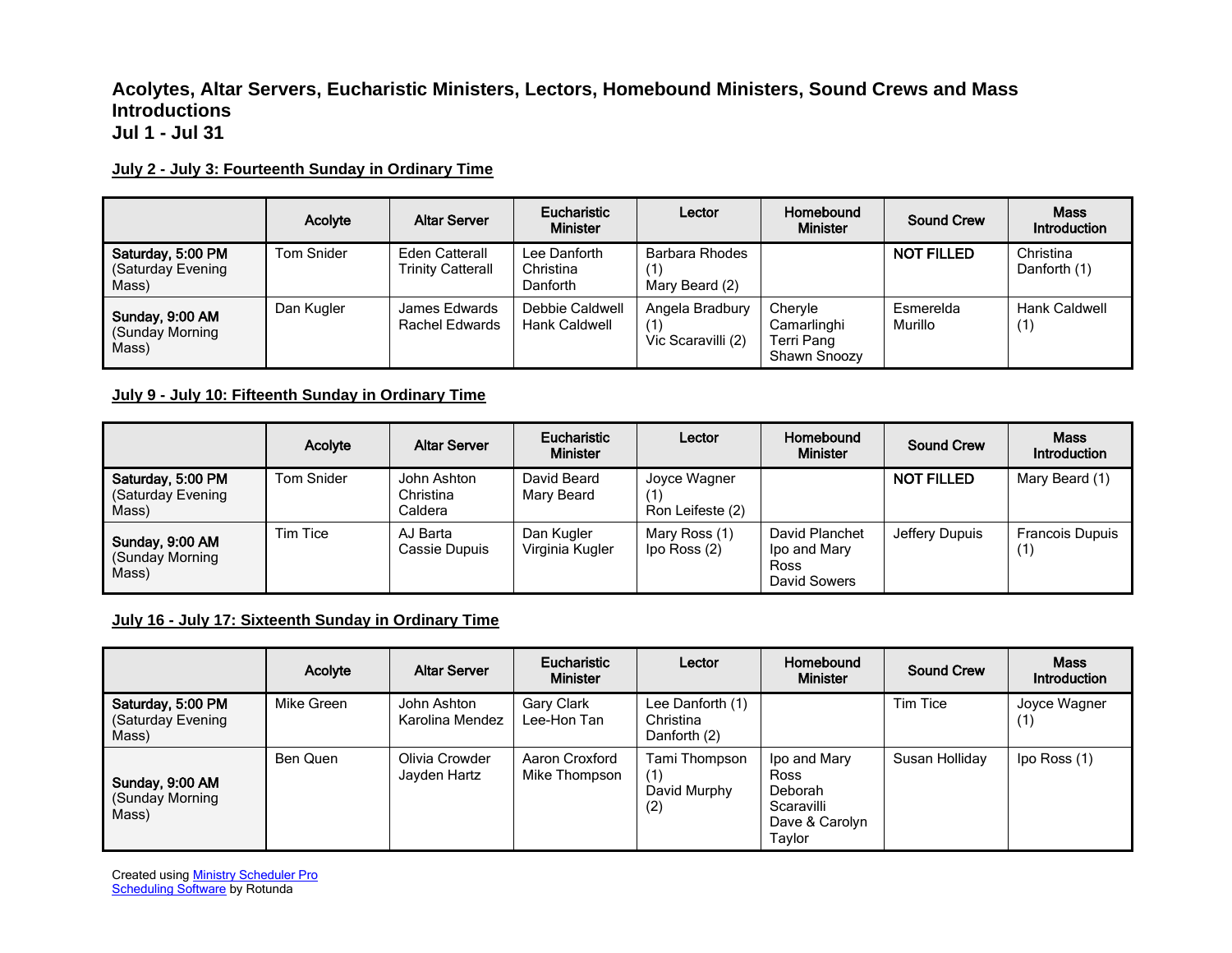### **Acolytes, Altar Servers, Eucharistic Ministers, Lectors, Homebound Ministers, Sound Crews and Mass Introductions Jul 1 - Jul 31**

#### **July 2 - July 3: Fourteenth Sunday in Ordinary Time**

|                                                 | Acolyte    | <b>Altar Server</b>                               | Eucharistic<br><b>Minister</b>          | Lector                                       | Homebound<br><b>Minister</b>                         | <b>Sound Crew</b>    | <b>Mass</b><br>Introduction |
|-------------------------------------------------|------------|---------------------------------------------------|-----------------------------------------|----------------------------------------------|------------------------------------------------------|----------------------|-----------------------------|
| Saturday, 5:00 PM<br>(Saturday Evening<br>Mass) | Tom Snider | <b>Eden Catterall</b><br><b>Trinity Catterall</b> | Lee Danforth<br>Christina<br>Danforth   | Barbara Rhodes<br>[1]<br>Mary Beard (2)      |                                                      | <b>NOT FILLED</b>    | Christina<br>Danforth (1)   |
| Sunday, 9:00 AM<br>(Sunday Morning<br>Mass)     | Dan Kugler | James Edwards<br><b>Rachel Edwards</b>            | Debbie Caldwell<br><b>Hank Caldwell</b> | Angela Bradbury<br>(1)<br>Vic Scaravilli (2) | Chervle<br>Camarlinghi<br>Terri Pang<br>Shawn Snoozy | Esmerelda<br>Murillo | <b>Hank Caldwell</b><br>(1) |

### **July 9 - July 10: Fifteenth Sunday in Ordinary Time**

|                                                 | Acolyte    | <b>Altar Server</b>                 | Eucharistic<br><b>Minister</b> | Lector                           | Homebound<br><b>Minister</b>                           | <b>Sound Crew</b> | <b>Mass</b><br>Introduction |
|-------------------------------------------------|------------|-------------------------------------|--------------------------------|----------------------------------|--------------------------------------------------------|-------------------|-----------------------------|
| Saturday, 5:00 PM<br>(Saturday Evening<br>Mass) | Tom Snider | John Ashton<br>Christina<br>Caldera | David Beard<br>Mary Beard      | Joyce Wagner<br>Ron Leifeste (2) |                                                        | <b>NOT FILLED</b> | Mary Beard (1)              |
| Sunday, 9:00 AM<br>(Sunday Morning<br>Mass)     | Tim Tice   | AJ Barta<br>Cassie Dupuis           | Dan Kugler<br>Virginia Kugler  | Mary Ross (1)<br>lpo Ross (2)    | David Planchet<br>Ipo and Mary<br>Ross<br>David Sowers | Jeffery Dupuis    | <b>Francois Dupuis</b>      |

### **July 16 - July 17: Sixteenth Sunday in Ordinary Time**

|                                                 | Acolyte    | <b>Altar Server</b>            | <b>Eucharistic</b><br><b>Minister</b> | Lector                                        | Homebound<br><b>Minister</b>                                                     | <b>Sound Crew</b> | <b>Mass</b><br><b>Introduction</b> |
|-------------------------------------------------|------------|--------------------------------|---------------------------------------|-----------------------------------------------|----------------------------------------------------------------------------------|-------------------|------------------------------------|
| Saturday, 5:00 PM<br>(Saturday Evening<br>Mass) | Mike Green | John Ashton<br>Karolina Mendez | Gary Clark<br>Lee-Hon Tan             | Lee Danforth (1)<br>Christina<br>Danforth (2) |                                                                                  | Tim Tice          | Joyce Wagner<br>(1)                |
| Sunday, 9:00 AM<br>(Sunday Morning<br>Mass)     | Ben Quen   | Olivia Crowder<br>Jayden Hartz | Aaron Croxford<br>Mike Thompson       | Tami Thompson<br>(1)<br>David Murphy<br>(2)   | Ipo and Mary<br>Ross<br><b>Deborah</b><br>Scaravilli<br>Dave & Carolyn<br>Taylor | Susan Holliday    | Ipo Ross (1)                       |